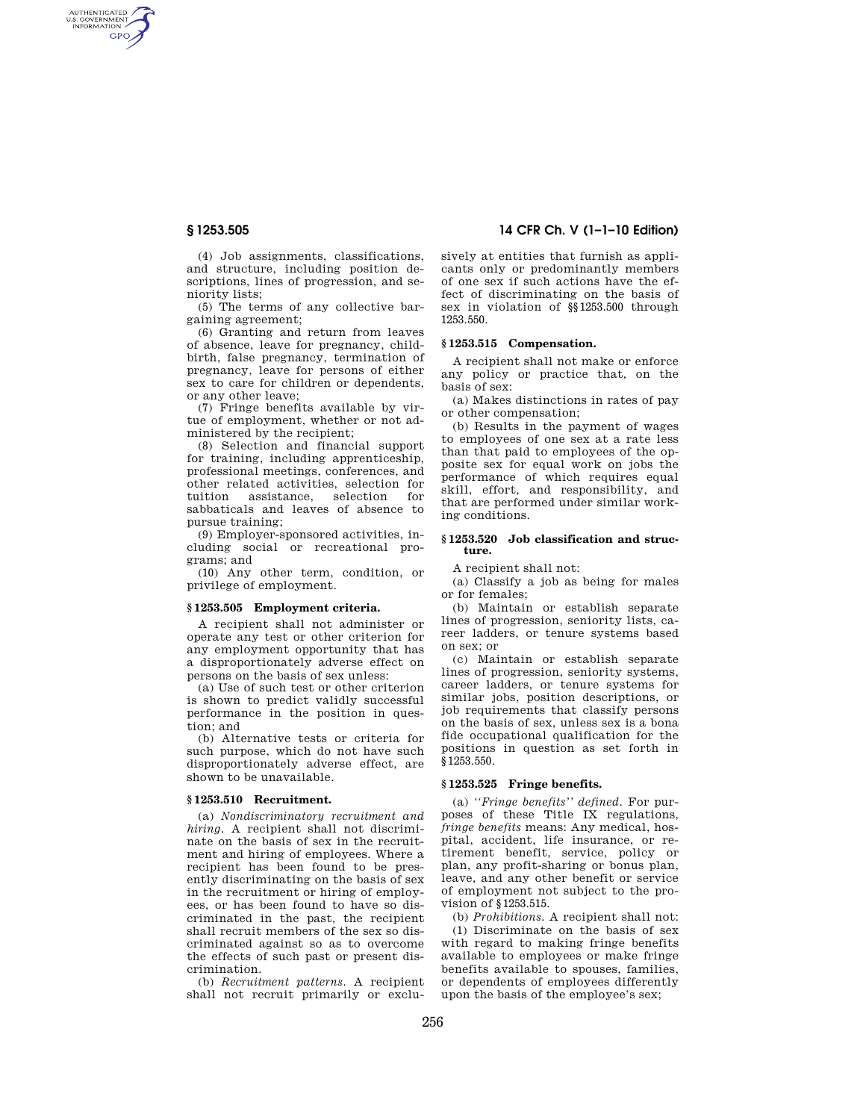AUTHENTICATED<br>U.S. GOVERNMENT<br>INFORMATION **GPO** 

> (4) Job assignments, classifications, and structure, including position descriptions, lines of progression, and seniority lists;

> (5) The terms of any collective bargaining agreement;

> (6) Granting and return from leaves of absence, leave for pregnancy, childbirth, false pregnancy, termination of pregnancy, leave for persons of either sex to care for children or dependents, or any other leave;

> (7) Fringe benefits available by virtue of employment, whether or not administered by the recipient;

(8) Selection and financial support for training, including apprenticeship, professional meetings, conferences, and other related activities, selection for tuition assistance, selection for sabbaticals and leaves of absence to pursue training;

(9) Employer-sponsored activities, including social or recreational programs; and

(10) Any other term, condition, or privilege of employment.

## **§ 1253.505 Employment criteria.**

A recipient shall not administer or operate any test or other criterion for any employment opportunity that has a disproportionately adverse effect on persons on the basis of sex unless:

(a) Use of such test or other criterion is shown to predict validly successful performance in the position in question; and

(b) Alternative tests or criteria for such purpose, which do not have such disproportionately adverse effect, are shown to be unavailable.

#### **§ 1253.510 Recruitment.**

(a) *Nondiscriminatory recruitment and hiring.* A recipient shall not discriminate on the basis of sex in the recruitment and hiring of employees. Where a recipient has been found to be presently discriminating on the basis of sex in the recruitment or hiring of employees, or has been found to have so discriminated in the past, the recipient shall recruit members of the sex so discriminated against so as to overcome the effects of such past or present discrimination.

(b) *Recruitment patterns.* A recipient shall not recruit primarily or exclu-

# **§ 1253.505 14 CFR Ch. V (1–1–10 Edition)**

sively at entities that furnish as applicants only or predominantly members of one sex if such actions have the effect of discriminating on the basis of sex in violation of §§1253.500 through 1253.550.

## **§ 1253.515 Compensation.**

A recipient shall not make or enforce any policy or practice that, on the basis of sex:

(a) Makes distinctions in rates of pay or other compensation;

(b) Results in the payment of wages to employees of one sex at a rate less than that paid to employees of the opposite sex for equal work on jobs the performance of which requires equal skill, effort, and responsibility, and that are performed under similar working conditions.

#### **§ 1253.520 Job classification and structure.**

A recipient shall not:

(a) Classify a job as being for males or for females;

(b) Maintain or establish separate lines of progression, seniority lists, career ladders, or tenure systems based on sex; or

(c) Maintain or establish separate lines of progression, seniority systems, career ladders, or tenure systems for similar jobs, position descriptions, or job requirements that classify persons on the basis of sex, unless sex is a bona fide occupational qualification for the positions in question as set forth in §1253.550.

## **§ 1253.525 Fringe benefits.**

(a) *''Fringe benefits'' defined.* For purposes of these Title IX regulations, *fringe benefits* means: Any medical, hospital, accident, life insurance, or retirement benefit, service, policy or plan, any profit-sharing or bonus plan, leave, and any other benefit or service of employment not subject to the provision of §1253.515.

(b) *Prohibitions.* A recipient shall not: (1) Discriminate on the basis of sex with regard to making fringe benefits available to employees or make fringe benefits available to spouses, families, or dependents of employees differently upon the basis of the employee's sex;